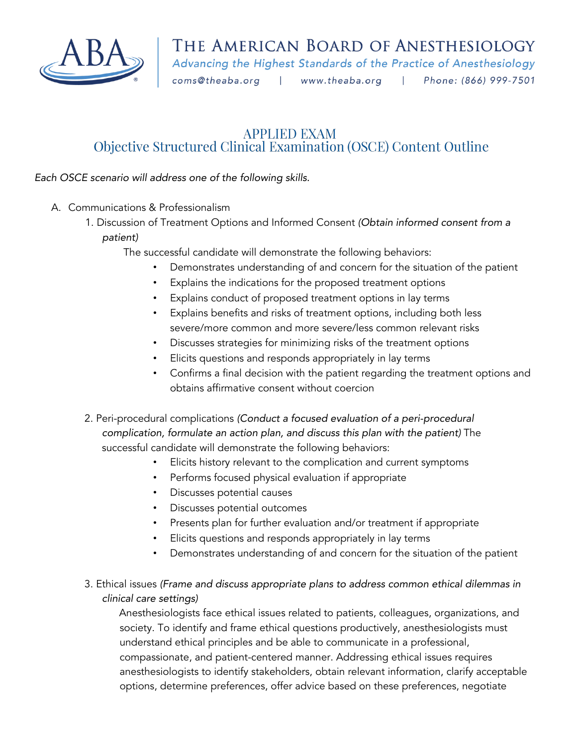

Advancing the Highest Standards of the Practice of Anesthesiology

coms@theaba.org |

www.theaba.org | Phone: (866) 999-7501

## **APPLIED EXAM** Objective Structured Clinical Examination (OSCE) Content Outline

*Each OSCE scenario will address one of the following skills.* 

- A. Communications & Professionalism
	- 1. Discussion of Treatment Options and Informed Consent *(Obtain informed consent from a patient)*

The successful candidate will demonstrate the following behaviors:

- Demonstrates understanding of and concern for the situation of the patient
- Explains the indications for the proposed treatment options
- Explains conduct of proposed treatment options in lay terms
- Explains benefits and risks of treatment options, including both less severe/more common and more severe/less common relevant risks
- Discusses strategies for minimizing risks of the treatment options
- Elicits questions and responds appropriately in lay terms
- Confirms a final decision with the patient regarding the treatment options and obtains affirmative consent without coercion
- 2. Peri-procedural complications *(Conduct a focused evaluation of a peri-procedural complication, formulate an action plan, and discuss this plan with the patient)* The successful candidate will demonstrate the following behaviors:
	- Elicits history relevant to the complication and current symptoms
	- Performs focused physical evaluation if appropriate
	- Discusses potential causes
	- Discusses potential outcomes
	- Presents plan for further evaluation and/or treatment if appropriate
	- Elicits questions and responds appropriately in lay terms
	- Demonstrates understanding of and concern for the situation of the patient
- 3. Ethical issues *(Frame and discuss appropriate plans to address common ethical dilemmas in clinical care settings)*

Anesthesiologists face ethical issues related to patients, colleagues, organizations, and society. To identify and frame ethical questions productively, anesthesiologists must understand ethical principles and be able to communicate in a professional, compassionate, and patient-centered manner. Addressing ethical issues requires anesthesiologists to identify stakeholders, obtain relevant information, clarify acceptable options, determine preferences, offer advice based on these preferences, negotiate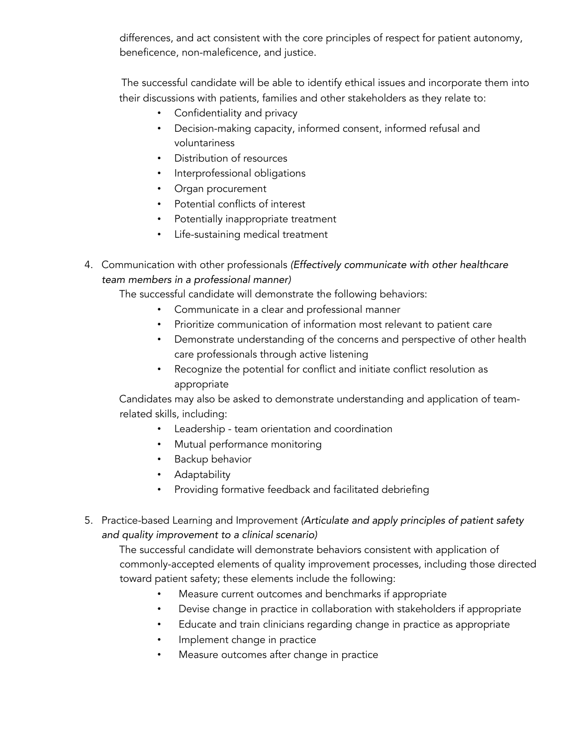differences, and act consistent with the core principles of respect for patient autonomy, beneficence, non-maleficence, and justice.

The successful candidate will be able to identify ethical issues and incorporate them into their discussions with patients, families and other stakeholders as they relate to:

- Confidentiality and privacy
- Decision-making capacity, informed consent, informed refusal and voluntariness
- Distribution of resources
- Interprofessional obligations
- Organ procurement
- Potential conflicts of interest
- Potentially inappropriate treatment
- Life-sustaining medical treatment
- 4. Communication with other professionals *(Effectively communicate with other healthcare team members in a professional manner)*

The successful candidate will demonstrate the following behaviors:

- Communicate in a clear and professional manner
- Prioritize communication of information most relevant to patient care
- Demonstrate understanding of the concerns and perspective of other health care professionals through active listening
- Recognize the potential for conflict and initiate conflict resolution as appropriate

Candidates may also be asked to demonstrate understanding and application of teamrelated skills, including:

- Leadership team orientation and coordination
- Mutual performance monitoring
- Backup behavior
- Adaptability
- Providing formative feedback and facilitated debriefing
- 5. Practice-based Learning and Improvement *(Articulate and apply principles of patient safety and quality improvement to a clinical scenario)*

The successful candidate will demonstrate behaviors consistent with application of commonly-accepted elements of quality improvement processes, including those directed toward patient safety; these elements include the following:

- Measure current outcomes and benchmarks if appropriate
- Devise change in practice in collaboration with stakeholders if appropriate
- Educate and train clinicians regarding change in practice as appropriate
- Implement change in practice
- Measure outcomes after change in practice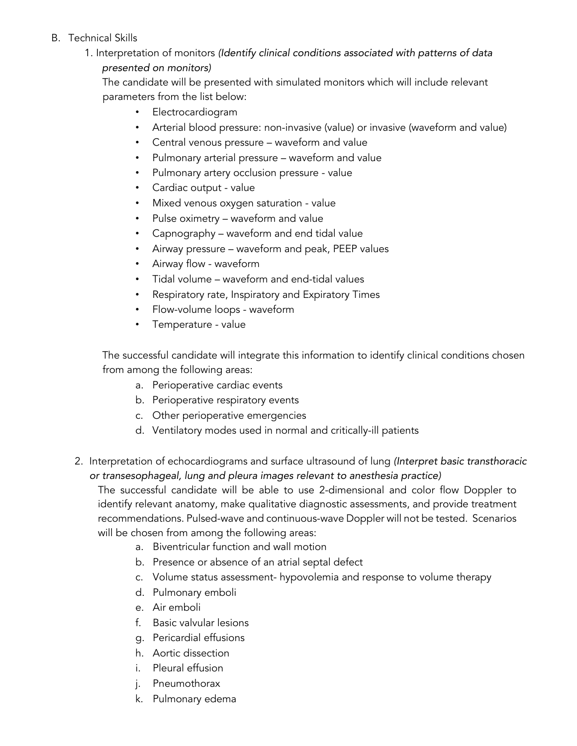## B. Technical Skills

1. Interpretation of monitors *(Identify clinical conditions associated with patterns of data presented on monitors)*

The candidate will be presented with simulated monitors which will include relevant parameters from the list below:

- Electrocardiogram
- Arterial blood pressure: non-invasive (value) or invasive (waveform and value)
- Central venous pressure waveform and value
- Pulmonary arterial pressure waveform and value
- Pulmonary artery occlusion pressure value
- Cardiac output value
- Mixed venous oxygen saturation value
- Pulse oximetry waveform and value
- Capnography waveform and end tidal value
- Airway pressure waveform and peak, PEEP values
- Airway flow waveform
- Tidal volume waveform and end-tidal values
- Respiratory rate, Inspiratory and Expiratory Times
- Flow-volume loops waveform
- Temperature value

The successful candidate will integrate this information to identify clinical conditions chosen from among the following areas:

- a. Perioperative cardiac events
- b. Perioperative respiratory events
- c. Other perioperative emergencies
- d. Ventilatory modes used in normal and critically-ill patients
- 2. Interpretation of echocardiograms and surface ultrasound of lung *(Interpret basic transthoracic or transesophageal, lung and pleura images relevant to anesthesia practice)*

The successful candidate will be able to use 2-dimensional and color flow Doppler to identify relevant anatomy, make qualitative diagnostic assessments, and provide treatment recommendations. Pulsed-wave and continuous-wave Doppler will not be tested. Scenarios will be chosen from among the following areas:

- a. Biventricular function and wall motion
- b. Presence or absence of an atrial septal defect
- c. Volume status assessment- hypovolemia and response to volume therapy
- d. Pulmonary emboli
- e. Air emboli
- f. Basic valvular lesions
- g. Pericardial effusions
- h. Aortic dissection
- i. Pleural effusion
- j. Pneumothorax
- k. Pulmonary edema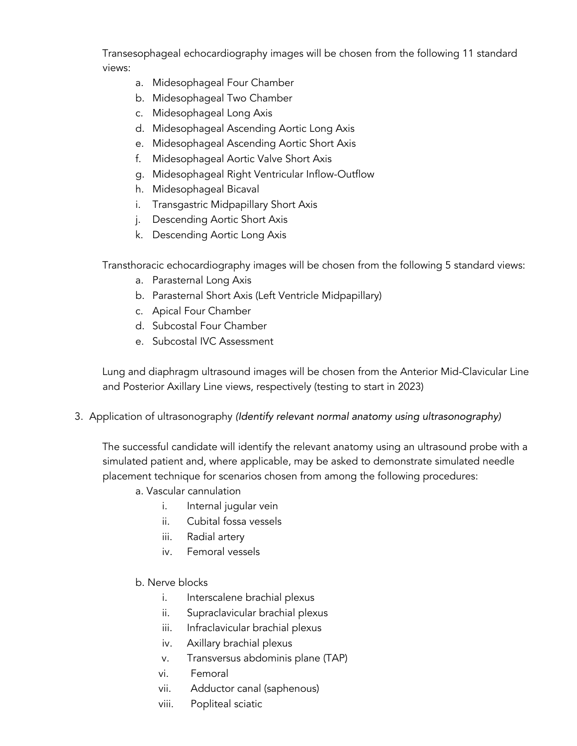Transesophageal echocardiography images will be chosen from the following 11 standard views:

- a. Midesophageal Four Chamber
- b. Midesophageal Two Chamber
- c. Midesophageal Long Axis
- d. Midesophageal Ascending Aortic Long Axis
- e. Midesophageal Ascending Aortic Short Axis
- f. Midesophageal Aortic Valve Short Axis
- g. Midesophageal Right Ventricular Inflow-Outflow
- h. Midesophageal Bicaval
- i. Transgastric Midpapillary Short Axis
- j. Descending Aortic Short Axis
- k. Descending Aortic Long Axis

Transthoracic echocardiography images will be chosen from the following 5 standard views:

- a. Parasternal Long Axis
- b. Parasternal Short Axis (Left Ventricle Midpapillary)
- c. Apical Four Chamber
- d. Subcostal Four Chamber
- e. Subcostal IVC Assessment

Lung and diaphragm ultrasound images will be chosen from the Anterior Mid-Clavicular Line and Posterior Axillary Line views, respectively (testing to start in 2023)

3. Application of ultrasonography *(Identify relevant normal anatomy using ultrasonography)*

The successful candidate will identify the relevant anatomy using an ultrasound probe with a simulated patient and, where applicable, may be asked to demonstrate simulated needle placement technique for scenarios chosen from among the following procedures:

- a. Vascular cannulation
	- i. Internal jugular vein
	- ii. Cubital fossa vessels
	- iii. Radial artery
	- iv. Femoral vessels
- b. Nerve blocks
	- i. Interscalene brachial plexus
	- ii. Supraclavicular brachial plexus
	- iii. Infraclavicular brachial plexus
	- iv. Axillary brachial plexus
	- v. Transversus abdominis plane (TAP)
	- vi. Femoral
	- vii. Adductor canal (saphenous)
	- viii. Popliteal sciatic